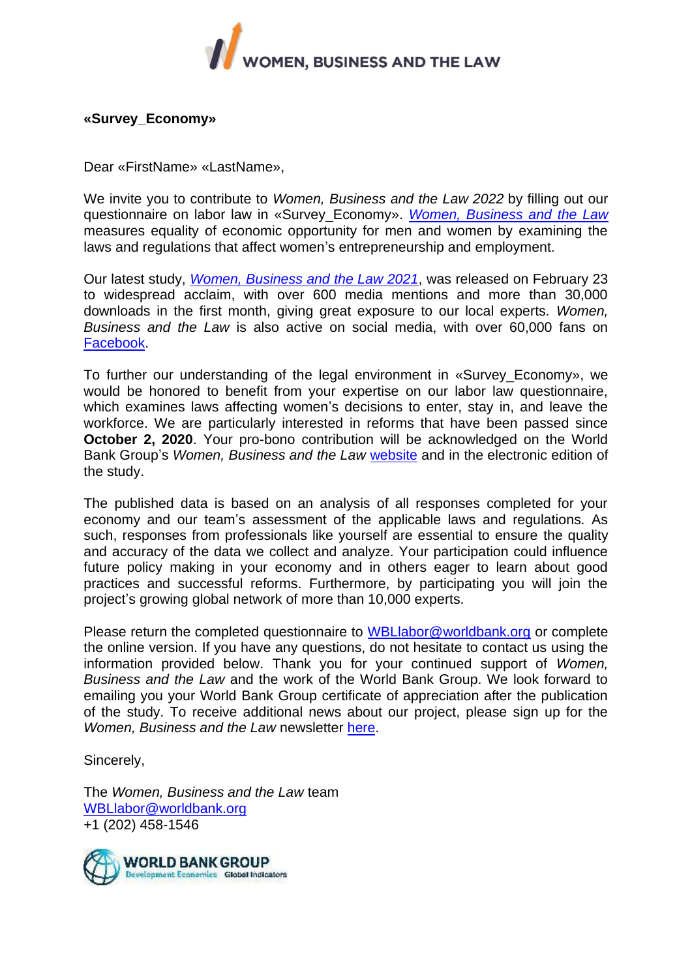

# **«Survey\_Economy»**

Dear «FirstName» «LastName»,

We invite you to contribute to *Women, Business and the Law 2022* by filling out our questionnaire on labor law in «Survey\_Economy». *[Women, Business and the Law](https://wbl.worldbank.org/)* measures equality of economic opportunity for men and women by examining the laws and regulations that affect women's entrepreneurship and employment.

Our latest study, *[Women, Business and the Law 2021](http://openknowledge.worldbank.org/bitstream/handle/10986/35094/9781464816529.pdf)*, was released on February 23 to widespread acclaim, with over 600 media mentions and more than 30,000 downloads in the first month, giving great exposure to our local experts. *Women, Business and the Law* is also active on social media, with over 60,000 fans on [Facebook.](http://www.facebook.com/womenbusinesslaw/)

To further our understanding of the legal environment in «Survey\_Economy», we would be honored to benefit from your expertise on our labor law questionnaire, which examines laws affecting women's decisions to enter, stay in, and leave the workforce. We are particularly interested in reforms that have been passed since **October 2, 2020**. Your pro-bono contribution will be acknowledged on the World Bank Group's *Women, Business and the Law* [website](http://wbl.worldbank.org/local-experts) and in the electronic edition of the study.

The published data is based on an analysis of all responses completed for your economy and our team's assessment of the applicable laws and regulations. As such, responses from professionals like yourself are essential to ensure the quality and accuracy of the data we collect and analyze. Your participation could influence future policy making in your economy and in others eager to learn about good practices and successful reforms. Furthermore, by participating you will join the project's growing global network of more than 10,000 experts.

Please return the completed questionnaire to [WBLlabor@worldbank.org](mailto:wbllabor@worldbank.org) or complete the online version. If you have any questions, do not hesitate to contact us using the information provided below. Thank you for your continued support of *Women, Business and the Law* and the work of the World Bank Group. We look forward to emailing you your World Bank Group certificate of appreciation after the publication of the study. To receive additional news about our project, please sign up for the *Women, Business and the Law* newsletter [here.](http://www.worldbank.org/en/newsletter-subscription?wbl=true)

Sincerely,

The *Women, Business and the Law* team [WBLlabor@worldbank.org](mailto:WBLlabor@worldbank.org) +1 (202) 458-1546

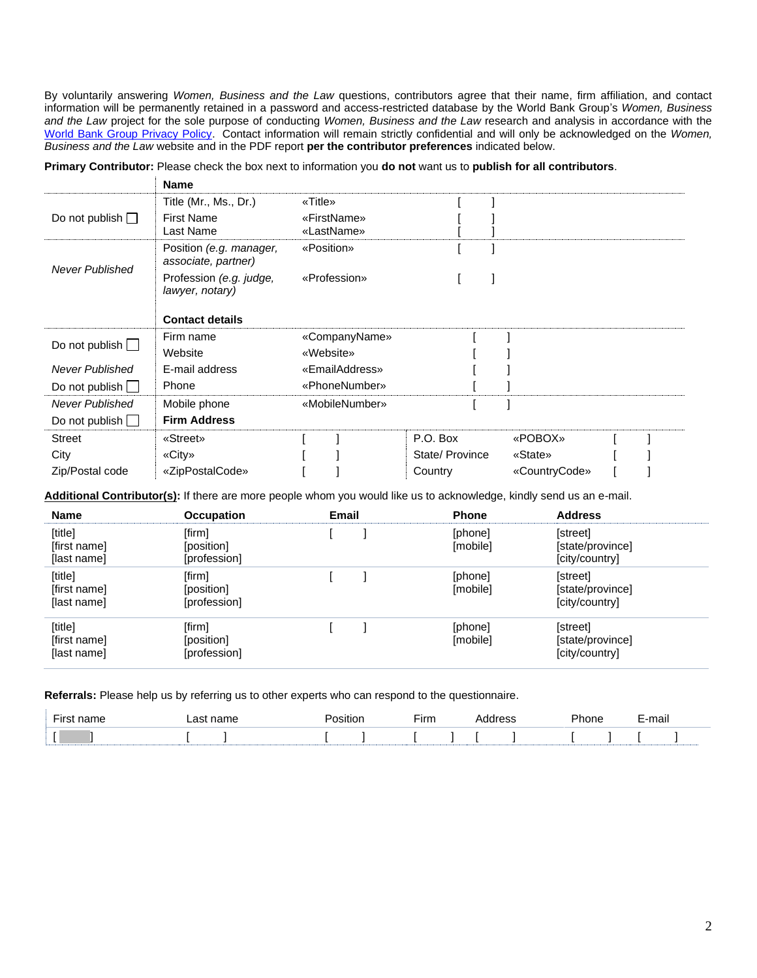By voluntarily answering *Women, Business and the Law* questions, contributors agree that their name, firm affiliation, and contact information will be permanently retained in a password and access-restricted database by the World Bank Group's *Women, Business and the Law* project for the sole purpose of conducting *Women, Business and the Law* research and analysis in accordance with the [World Bank Group Privacy Policy.](https://ppfdocuments.azureedge.net/ca36fdc4-5191-4d89-a49d-6189a98bad86.pdf) Contact information will remain strictly confidential and will only be acknowledged on the *Women, Business and the Law* website and in the PDF report **per the contributor preferences** indicated below.

|                        | <b>Name</b>                                    |                |                |               |  |
|------------------------|------------------------------------------------|----------------|----------------|---------------|--|
|                        | Title (Mr., Ms., Dr.)                          | «Title»        |                |               |  |
| Do not publish $\Box$  | <b>First Name</b>                              | «FirstName»    |                |               |  |
|                        | Last Name                                      | «LastName»     |                |               |  |
| <b>Never Published</b> | Position (e.g. manager,<br>associate, partner) | «Position»     |                |               |  |
|                        | Profession (e.g. judge,<br>lawyer, notary)     | «Profession»   |                |               |  |
|                        | <b>Contact details</b>                         |                |                |               |  |
| Do not publish [       | Firm name                                      | «CompanyName»  |                |               |  |
|                        | Website                                        | «Website»      |                |               |  |
| <b>Never Published</b> | E-mail address                                 | «EmailAddress» |                |               |  |
| Do not publish $\Box$  | Phone                                          | «PhoneNumber»  |                |               |  |
| Never Published        | Mobile phone                                   | «MobileNumber» |                |               |  |
| Do not publish $\Box$  | <b>Firm Address</b>                            |                |                |               |  |
| <b>Street</b>          | «Street»                                       |                | P.O. Box       | «POBOX»       |  |
| City                   | «City»                                         |                | State/Province | «State»       |  |
| Zip/Postal code        | «ZipPostalCode»                                |                | Country        | «CountryCode» |  |

**Primary Contributor:** Please check the box next to information you **do not** want us to **publish for all contributors**.

Additional Contributor(s): If there are more people whom you would like us to acknowledge, kindly send us an e-mail.

| Name                                   | <b>Occupation</b>                    | Email | <b>Phone</b>        | <b>Address</b>                                 |
|----------------------------------------|--------------------------------------|-------|---------------------|------------------------------------------------|
| [title]<br>[first name]<br>[last name] | [firm]<br>[position]<br>[profession] |       | [phone]<br>[mobile] | [street]<br>[state/province]<br>[city/country] |
| [title]<br>[first name]<br>[last name] | [firm]<br>[position]<br>[profession] |       | [phone]<br>[mobile] | [street]<br>[state/province]<br>[city/country] |
| [title]<br>[first name]<br>[last name] | [firm]<br>[position]<br>[profession] |       | [phone]<br>[mobile] | [street]<br>[state/province]<br>[city/country] |

**Referrals:** Please help us by referring us to other experts who can respond to the questionnaire.

| $- \cdot$ | ~~ | . | шц | . | . .<br>E-mail |
|-----------|----|---|----|---|---------------|
|           |    |   |    |   |               |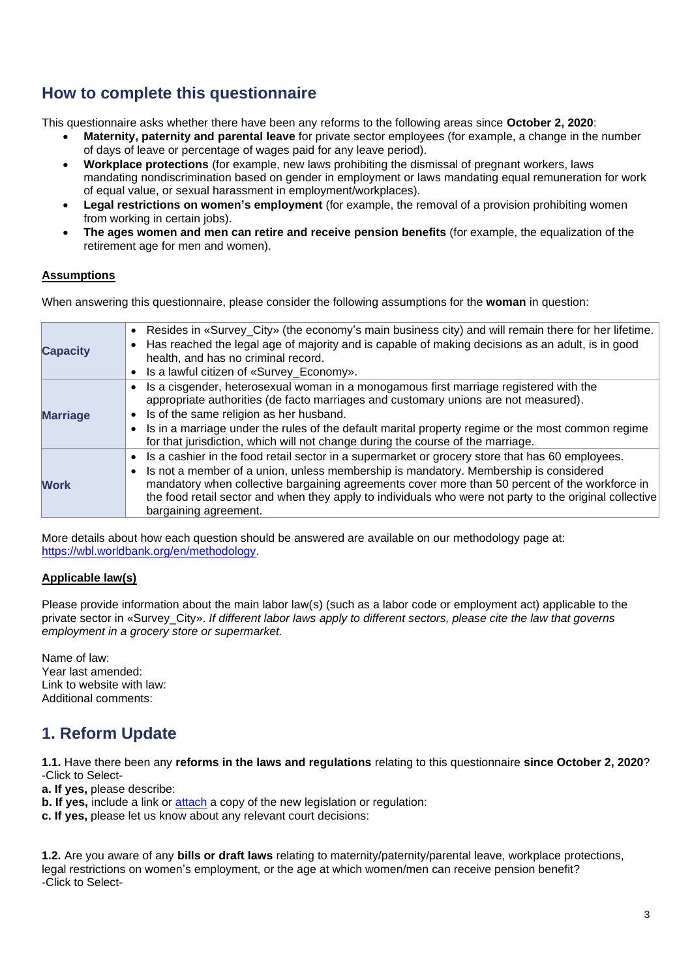# **How to complete this questionnaire**

This questionnaire asks whether there have been any reforms to the following areas since **October 2, 2020**:

- **Maternity, paternity and parental leave** for private sector employees (for example, a change in the number of days of leave or percentage of wages paid for any leave period).
- **Workplace protections** (for example, new laws prohibiting the dismissal of pregnant workers, laws mandating nondiscrimination based on gender in employment or laws mandating equal remuneration for work of equal value, or sexual harassment in employment/workplaces).
- **Legal restrictions on women's employment** (for example, the removal of a provision prohibiting women from working in certain jobs).
- **The ages women and men can retire and receive pension benefits** (for example, the equalization of the retirement age for men and women).

# **Assumptions**

When answering this questionnaire, please consider the following assumptions for the **woman** in question:

| <b>Capacity</b> | • Resides in «Survey_City» (the economy's main business city) and will remain there for her lifetime.<br>Has reached the legal age of majority and is capable of making decisions as an adult, is in good<br>health, and has no criminal record.<br>Is a lawful citizen of «Survey_Economy».                                                                                                                                  |
|-----------------|-------------------------------------------------------------------------------------------------------------------------------------------------------------------------------------------------------------------------------------------------------------------------------------------------------------------------------------------------------------------------------------------------------------------------------|
| <b>Marriage</b> | Is a cisgender, heterosexual woman in a monogamous first marriage registered with the<br>appropriate authorities (de facto marriages and customary unions are not measured).<br>Is of the same religion as her husband.<br>Is in a marriage under the rules of the default marital property regime or the most common regime<br>for that jurisdiction, which will not change during the course of the marriage.               |
| <b>Work</b>     | Is a cashier in the food retail sector in a supermarket or grocery store that has 60 employees.<br>Is not a member of a union, unless membership is mandatory. Membership is considered<br>mandatory when collective bargaining agreements cover more than 50 percent of the workforce in<br>the food retail sector and when they apply to individuals who were not party to the original collective<br>bargaining agreement. |

More details about how each question should be answered are available on our methodology page at: [https://wbl.worldbank.org/en/methodology.](http://wbl.worldbank.org/en/methodology)

# **Applicable law(s)**

Please provide information about the main labor law(s) (such as a labor code or employment act) applicable to the private sector in «Survey\_City». *If different labor laws apply to different sectors, please cite the law that governs employment in a grocery store or supermarket.*

Name of law: Year last amended: Link to website with law: Additional comments:

# **1. Reform Update**

**1.1.** Have there been any **reforms in the laws and regulations** relating to this questionnaire **since October 2, 2020**? -Click to Select-

**a. If yes,** please describe:

**b. If yes,** include a link or [attach](mailto:wbllabor@worldbank.org) a copy of the new legislation or regulation:

**c. If yes,** please let us know about any relevant court decisions:

**1.2.** Are you aware of any **bills or draft laws** relating to maternity/paternity/parental leave, workplace protections, legal restrictions on women's employment, or the age at which women/men can receive pension benefit? -Click to Select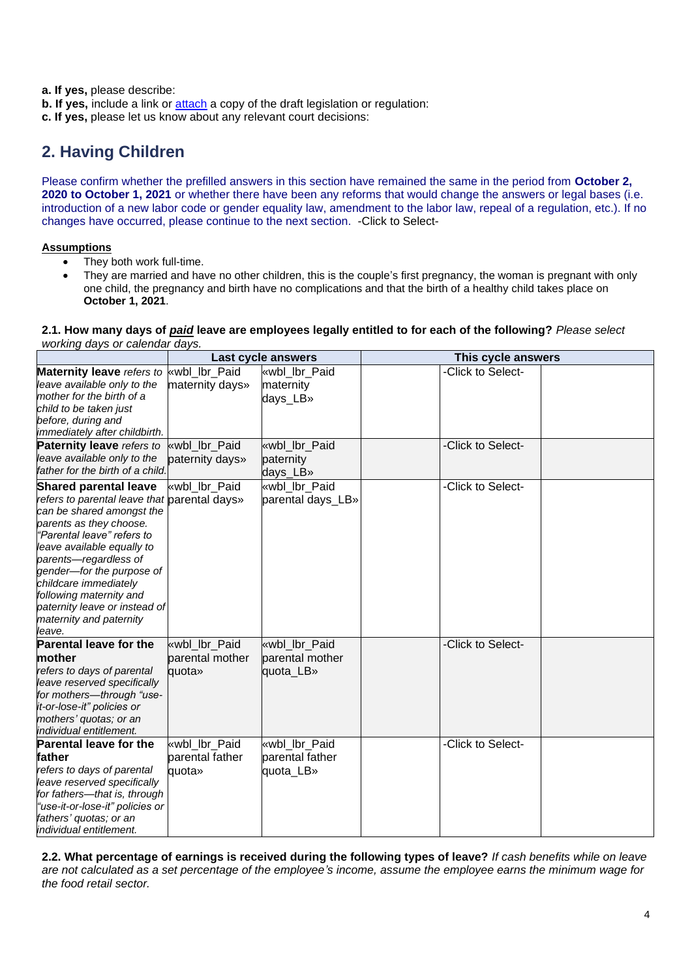**a. If yes,** please describe:

- **b. If yes, include a link or [attach](mailto:wbllabor@worldbank.org) a copy of the draft legislation or regulation:**
- **c. If yes,** please let us know about any relevant court decisions:

# **2. Having Children**

Please confirm whether the prefilled answers in this section have remained the same in the period from **October 2, 2020 to October 1, 2021** or whether there have been any reforms that would change the answers or legal bases (i.e. introduction of a new labor code or gender equality law, amendment to the labor law, repeal of a regulation, etc.). If no changes have occurred, please continue to the next section. -Click to Select-

# **Assumptions**

- They both work full-time.
- They are married and have no other children, this is the couple's first pregnancy, the woman is pregnant with only one child, the pregnancy and birth have no complications and that the birth of a healthy child takes place on **October 1, 2021**.

#### **2.1. How many days of** *paid* **leave are employees legally entitled to for each of the following?** *Please select working days or calendar days.*

|                                                                                                                                                                                                                                                                                                                                                                                  |                                            | Last cycle answers                            | This cycle answers |  |
|----------------------------------------------------------------------------------------------------------------------------------------------------------------------------------------------------------------------------------------------------------------------------------------------------------------------------------------------------------------------------------|--------------------------------------------|-----------------------------------------------|--------------------|--|
| Maternity leave refers to wwbl_lbr_Paid<br>leave available only to the<br>mother for the birth of a<br>child to be taken just<br>before, during and                                                                                                                                                                                                                              | maternity days»                            | «wbl lbr Paid<br>maternity<br>days_LB»        | -Click to Select-  |  |
| immediately after childbirth.<br><b>Paternity leave</b> refers to<br>leave available only to the<br>father for the birth of a child.                                                                                                                                                                                                                                             | wbl lbr Paid<br>paternity days»            | «wbl lbr Paid<br>paternity<br>days_LB»        | -Click to Select-  |  |
| <b>Shared parental leave</b><br>refers to parental leave that parental days»<br>can be shared amongst the<br>parents as they choose.<br>"Parental leave" refers to<br>leave available equally to<br>parents-regardless of<br>gender-for the purpose of<br>childcare immediately<br>following maternity and<br>paternity leave or instead of<br>maternity and paternity<br>leave. | «wbl_lbr_Paid                              | «wbl lbr Paid<br>parental days_LB»            | -Click to Select-  |  |
| <b>Parental leave for the</b><br>mother<br>refers to days of parental<br>leave reserved specifically<br>for mothers-through "use-<br>it-or-lose-it" policies or<br>mothers' quotas; or an<br>individual entitlement.                                                                                                                                                             | «wbl lbr Paid<br>parental mother<br>quota» | «wbl lbr Paid<br>parental mother<br>quota_LB» | -Click to Select-  |  |
| <b>Parental leave for the</b><br>father<br>refers to days of parental<br>leave reserved specifically<br>for fathers-that is, through<br>"use-it-or-lose-it" policies or<br>fathers' quotas; or an<br>individual entitlement.                                                                                                                                                     | «wbl lbr Paid<br>parental father<br>quota» | «wbl lbr Paid<br>parental father<br>quota_LB» | -Click to Select-  |  |

**2.2. What percentage of earnings is received during the following types of leave?** *If cash benefits while on leave are not calculated as a set percentage of the employee's income, assume the employee earns the minimum wage for the food retail sector.*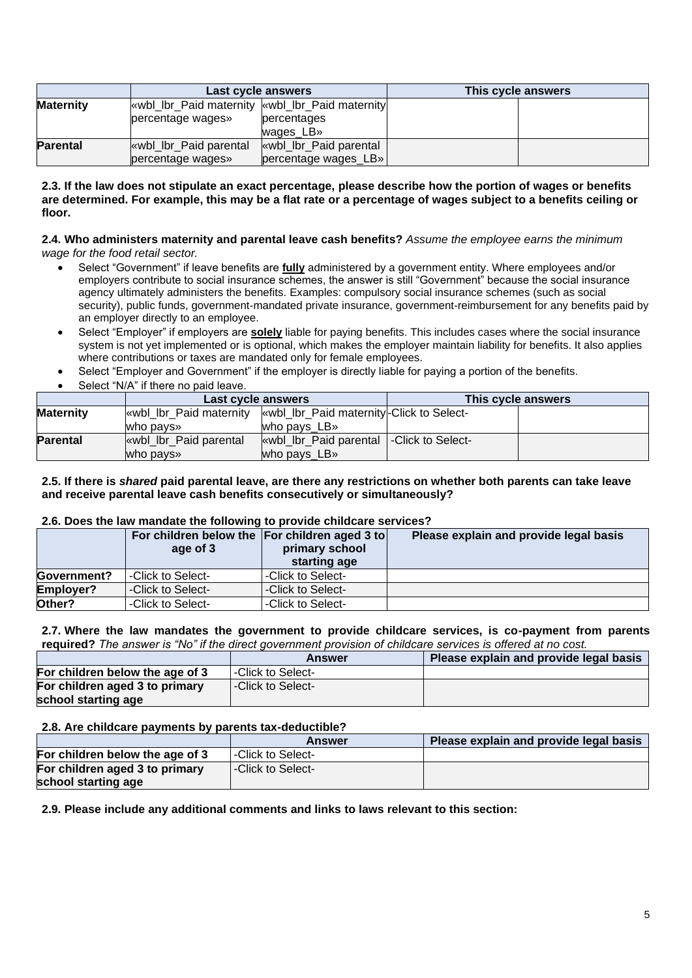|                  | Last cycle answers                              |                       | This cycle answers |  |
|------------------|-------------------------------------------------|-----------------------|--------------------|--|
| <b>Maternity</b> | wbl_lbr_Paid maternity   wbl_lbr_Paid maternity |                       |                    |  |
|                  | percentage wages»                               | percentages           |                    |  |
|                  |                                                 | wages LB»             |                    |  |
| <b>Parental</b>  | while Ibr Paid parental                         | wbl_lbr_Paid parental |                    |  |
|                  | percentage wages»                               | percentage wages LB»  |                    |  |

#### **2.3. If the law does not stipulate an exact percentage, please describe how the portion of wages or benefits are determined. For example, this may be a flat rate or a percentage of wages subject to a benefits ceiling or floor.**

#### **2.4. Who administers maternity and parental leave cash benefits?** *Assume the employee earns the minimum wage for the food retail sector.*

- Select "Government" if leave benefits are **fully** administered by a government entity. Where employees and/or employers contribute to social insurance schemes, the answer is still "Government" because the social insurance agency ultimately administers the benefits. Examples: compulsory social insurance schemes (such as social security), public funds, government-mandated private insurance, government-reimbursement for any benefits paid by an employer directly to an employee.
- Select "Employer" if employers are **solely** liable for paying benefits. This includes cases where the social insurance system is not yet implemented or is optional, which makes the employer maintain liability for benefits. It also applies where contributions or taxes are mandated only for female employees.
- Select "Employer and Government" if the employer is directly liable for paying a portion of the benefits.
- Select "N/A" if there no paid leave.

|                  | Last cycle answers                                                |                                           | This cycle answers |  |
|------------------|-------------------------------------------------------------------|-------------------------------------------|--------------------|--|
| <b>Maternity</b> | wbl_lbr_Paid maternity   wbl_lbr_Paid maternity -Click to Select- |                                           |                    |  |
|                  | who pays»                                                         | who pays LB»                              |                    |  |
| <b>Parental</b>  | wbl_lbr_Paid parental                                             | wbl_lbr_Paid parental   -Click to Select- |                    |  |
|                  | who pays»                                                         | who pays LB»                              |                    |  |

#### **2.5. If there is** *shared* **paid parental leave, are there any restrictions on whether both parents can take leave and receive parental leave cash benefits consecutively or simultaneously?**

### **2.6. Does the law mandate the following to provide childcare services?**

|                    | For children below the For children aged 3 to<br>age of 3 | primary school<br>starting age | Please explain and provide legal basis |
|--------------------|-----------------------------------------------------------|--------------------------------|----------------------------------------|
| <b>Government?</b> | I-Click to Select-                                        | -Click to Select-              |                                        |
| Employer?          | -Click to Select-                                         | -Click to Select-              |                                        |
| Other?             | -Click to Select-                                         | -Click to Select-              |                                        |

#### **2.7. Where the law mandates the government to provide childcare services, is co-payment from parents required?** *The answer is "No" if the direct government provision of childcare services is offered at no cost.*

|                                 | <b>Answer</b>      | Please explain and provide legal basis |
|---------------------------------|--------------------|----------------------------------------|
| For children below the age of 3 | I-Click to Select- |                                        |
| For children aged 3 to primary  | -Click to Select-  |                                        |
| school starting age             |                    |                                        |

#### **2.8. Are childcare payments by parents tax-deductible?**

|                                                       | Answer             | Please explain and provide legal basis |
|-------------------------------------------------------|--------------------|----------------------------------------|
| For children below the age of 3                       | I-Click to Select- |                                        |
| For children aged 3 to primary<br>school starting age | -Click to Select-  |                                        |

## **2.9. Please include any additional comments and links to laws relevant to this section:**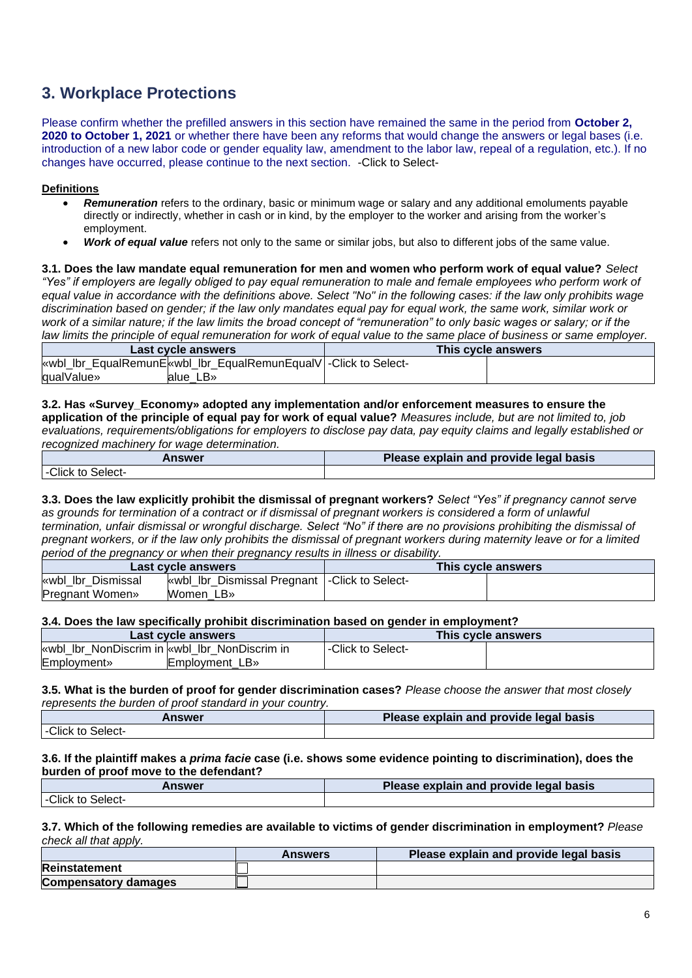# **3. Workplace Protections**

Please confirm whether the prefilled answers in this section have remained the same in the period from **October 2, 2020 to October 1, 2021** or whether there have been any reforms that would change the answers or legal bases (i.e. introduction of a new labor code or gender equality law, amendment to the labor law, repeal of a regulation, etc.). If no changes have occurred, please continue to the next section. -Click to Select-

### **Definitions**

- *Remuneration* refers to the ordinary, basic or minimum wage or salary and any additional emoluments payable directly or indirectly, whether in cash or in kind, by the employer to the worker and arising from the worker's employment.
- *Work of equal value* refers not only to the same or similar jobs, but also to different jobs of the same value.

**3.1. Does the law mandate equal remuneration for men and women who perform work of equal value?** *Select "Yes" if employers are legally obliged to pay equal remuneration to male and female employees who perform work of equal value in accordance with the definitions above. Select "No" in the following cases: if the law only prohibits wage discrimination based on gender; if the law only mandates equal pay for equal work, the same work, similar work or work of a similar nature; if the law limits the broad concept of "remuneration" to only basic wages or salary; or if the law limits the principle of equal remuneration for work of equal value to the same place of business or same employer.*

| Last cycle answers                                               | This cycle answers |
|------------------------------------------------------------------|--------------------|
| «wbl_lbr_EqualRemunE «wbl_lbr_EqualRemunEqualV -Click to Select- |                    |
| qualValue»<br>alue LB»                                           |                    |

#### **3.2. Has «Survey\_Economy» adopted any implementation and/or enforcement measures to ensure the application of the principle of equal pay for work of equal value?** *Measures include, but are not limited to, job evaluations, requirements/obligations for employers to disclose pay data, pay equity claims and legally established or recognized machinery for wage determination.*

| <b>Answer</b>        | Please explain and provide legal basis |
|----------------------|----------------------------------------|
| -Click to<br>-Select |                                        |

**3.3. Does the law explicitly prohibit the dismissal of pregnant workers?** *Select "Yes" if pregnancy cannot serve as grounds for termination of a contract or if dismissal of pregnant workers is considered a form of unlawful termination, unfair dismissal or wrongful discharge. Select "No" if there are no provisions prohibiting the dismissal of pregnant workers, or if the law only prohibits the dismissal of pregnant workers during maternity leave or for a limited period of the pregnancy or when their pregnancy results in illness or disability.*

| Last cycle answers     |                                                 | This cycle answers |
|------------------------|-------------------------------------------------|--------------------|
| wbl lbr Dismissal      | «wbl_lbr_Dismissal Pregnant   -Click to Select- |                    |
| <b>Pregnant Women»</b> | Women LB»                                       |                    |

#### **3.4. Does the law specifically prohibit discrimination based on gender in employment?**

| Last cycle answers                            | This cycle answers |  |  |
|-----------------------------------------------|--------------------|--|--|
| wwbl Ibr NonDiscrim in wwbl Ibr NonDiscrim in | -Click to Select-  |  |  |
| <b>Employment</b> »<br>Employment LB»         |                    |  |  |

#### **3.5. What is the burden of proof for gender discrimination cases?** *Please choose the answer that most closely represents the burden of proof standard in your country.*

| Answer            | Please explain and provide legal basis |  |  |
|-------------------|----------------------------------------|--|--|
| -Click to Select- |                                        |  |  |

#### **3.6. If the plaintiff makes a** *prima facie* **case (i.e. shows some evidence pointing to discrimination), does the burden of proof move to the defendant?**

| <b>Answer</b>       | <b>Please explain and provide legal basis</b> |  |  |
|---------------------|-----------------------------------------------|--|--|
| Click to<br>Select- |                                               |  |  |

#### **3.7. Which of the following remedies are available to victims of gender discrimination in employment?** *Please check all that apply.*

|                             | <b>Answers</b> | Please explain and provide legal basis |
|-----------------------------|----------------|----------------------------------------|
| Reinstatement               |                |                                        |
| <b>Compensatory damages</b> |                |                                        |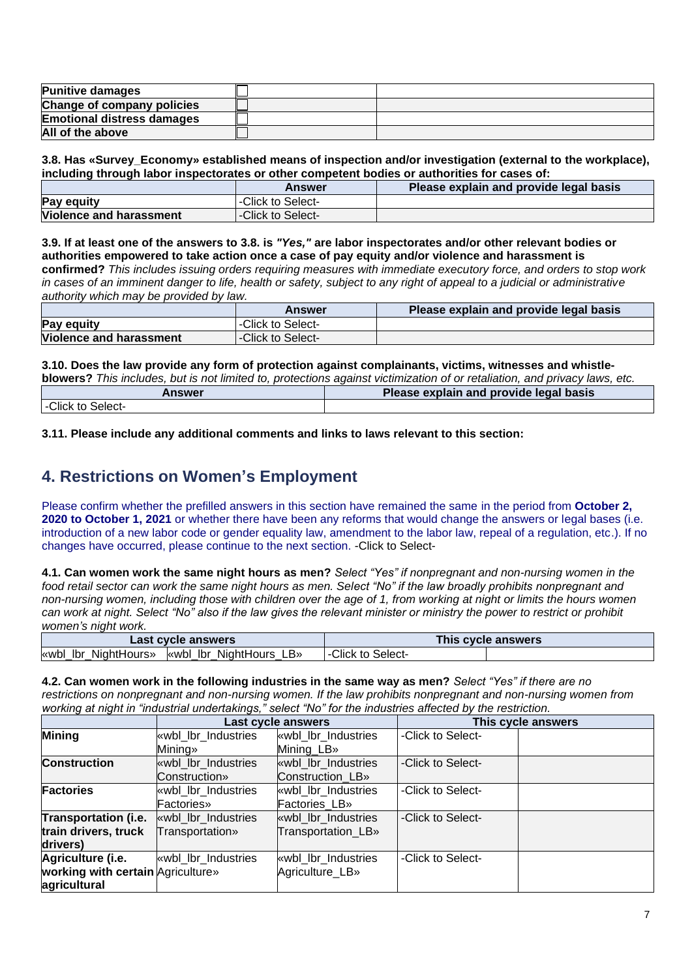| <b>Punitive damages</b>           |  |
|-----------------------------------|--|
| Change of company policies        |  |
| <b>Emotional distress damages</b> |  |
| All of the above                  |  |

**3.8. Has «Survey\_Economy» established means of inspection and/or investigation (external to the workplace), including through labor inspectorates or other competent bodies or authorities for cases of:**

|                                | <b>Answer</b>     | Please explain and provide legal basis |
|--------------------------------|-------------------|----------------------------------------|
| <b>Pay equity</b>              | -Click to Select- |                                        |
| <b>Violence and harassment</b> | -Click to Select- |                                        |

**3.9. If at least one of the answers to 3.8. is** *"Yes,"* **are labor inspectorates and/or other relevant bodies or authorities empowered to take action once a case of pay equity and/or violence and harassment is confirmed?** *This includes issuing orders requiring measures with immediate executory force, and orders to stop work in cases of an imminent danger to life, health or safety, subject to any right of appeal to a judicial or administrative authority which may be provided by law.*

|                         | <b>Answer</b>             | Please explain and provide legal basis |
|-------------------------|---------------------------|----------------------------------------|
| Pay equity              | <b>Click to Select-</b>   |                                        |
| Violence and harassment | <b>I-Click to Select-</b> |                                        |

**3.10. Does the law provide any form of protection against complainants, victims, witnesses and whistle-**

| blowers? This includes, but is not limited to, protections against victimization of or retaliation, and privacy laws, etc. |                                        |  |  |  |
|----------------------------------------------------------------------------------------------------------------------------|----------------------------------------|--|--|--|
| Answer                                                                                                                     | Please explain and provide legal basis |  |  |  |
| I-Click to Select-                                                                                                         |                                        |  |  |  |

**3.11. Please include any additional comments and links to laws relevant to this section:**

# **4. Restrictions on Women's Employment**

Please confirm whether the prefilled answers in this section have remained the same in the period from **October 2, 2020 to October 1, 2021** or whether there have been any reforms that would change the answers or legal bases (i.e. introduction of a new labor code or gender equality law, amendment to the labor law, repeal of a regulation, etc.). If no changes have occurred, please continue to the next section. -Click to Select-

**4.1. Can women work the same night hours as men?** *Select "Yes" if nonpregnant and non-nursing women in the food retail sector can work the same night hours as men. Select "No" if the law broadly prohibits nonpregnant and non-nursing women, including those with children over the age of 1, from working at night or limits the hours women can work at night. Select "No" also if the law gives the relevant minister or ministry the power to restrict or prohibit women's night work.*

| Last cycle answers                                          | This cycle answers |  |  |
|-------------------------------------------------------------|--------------------|--|--|
| NightHours<br>NightHours»<br>«wbl lbr<br>lbr<br>∟B»<br>«wbl | -Click to Select-  |  |  |

**4.2. Can women work in the following industries in the same way as men?** *Select "Yes" if there are no restrictions on nonpregnant and non-nursing women. If the law prohibits nonpregnant and non-nursing women from working at night in "industrial undertakings," select "No" for the industries affected by the restriction.*

|                                   | Last cycle answers  |                       |                   | This cycle answers |
|-----------------------------------|---------------------|-----------------------|-------------------|--------------------|
| Mining                            | «wbl_lbr_Industries | wbl lbr Industries    | -Click to Select- |                    |
|                                   | <b>Mining</b> »     | Mining_LB»            |                   |                    |
| <b>Construction</b>               | «wbl lbr Industries | wbl lbr Industries    | -Click to Select- |                    |
|                                   | Construction»       | Construction LB»      |                   |                    |
| Factories                         | «wbl lbr Industries | wbl lbr Industries    | -Click to Select- |                    |
|                                   | Factories»          | <b>Factories LB</b> » |                   |                    |
| <b>Transportation (i.e.</b>       | wbl lbr Industries  | wbl lbr Industries    | -Click to Select- |                    |
| train drivers, truck              | Transportation»     | Transportation_LB»    |                   |                    |
| drivers)                          |                     |                       |                   |                    |
| Agriculture (i.e.                 | wbl lbr Industries  | wbl lbr Industries    | -Click to Select- |                    |
| working with certain Agriculture» |                     | Agriculture LB»       |                   |                    |
| agricultural                      |                     |                       |                   |                    |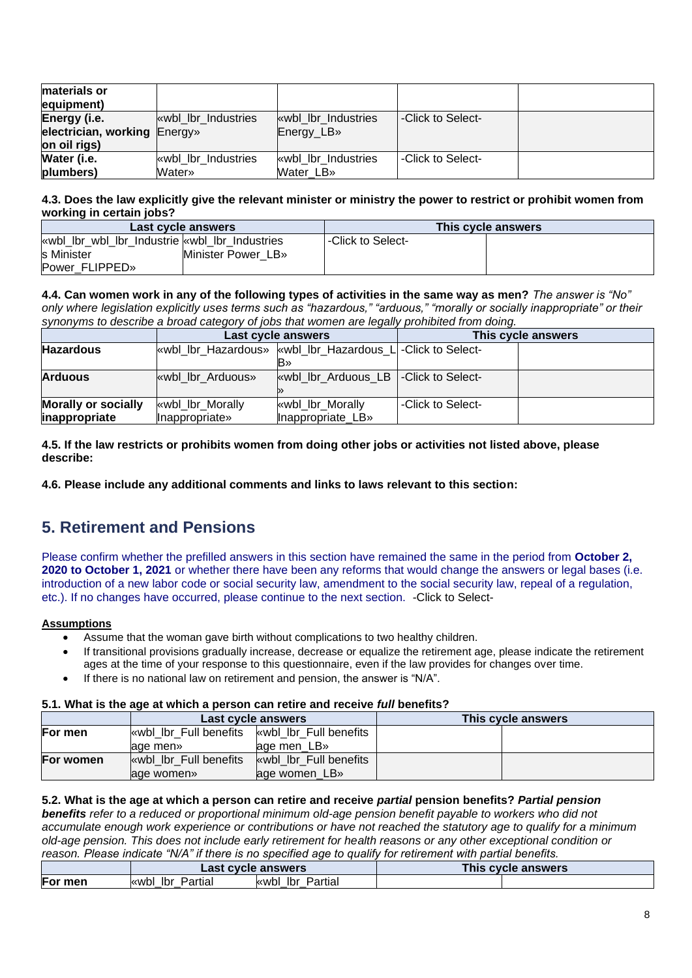| <b>Imaterials or</b>         |                      |                     |                   |  |
|------------------------------|----------------------|---------------------|-------------------|--|
| equipment)                   |                      |                     |                   |  |
| Energy (i.e.                 | while the Industries | wbl lbr Industries  | -Click to Select- |  |
| electrician, working Energy» |                      | Energy_LB»          |                   |  |
| on oil rigs)                 |                      |                     |                   |  |
| Water (i.e.                  | while the Industries | «wbl lbr Industries | -Click to Select- |  |
| plumbers)                    | Water»               | Water LB»           |                   |  |

### **4.3. Does the law explicitly give the relevant minister or ministry the power to restrict or prohibit women from working in certain jobs?**

| Last cycle answers                           |                    |                   | This cycle answers |
|----------------------------------------------|--------------------|-------------------|--------------------|
| wbl_lbr_wbl_lbr_Industrie wbl_lbr Industries |                    | -Click to Select- |                    |
| s Minister                                   | Minister Power LB» |                   |                    |
| Power FLIPPED»                               |                    |                   |                    |

**4.4. Can women work in any of the following types of activities in the same way as men?** *The answer is "No" only where legislation explicitly uses terms such as "hazardous," "arduous," "morally or socially inappropriate" or their synonyms to describe a broad category of jobs that women are legally prohibited from doing.*

|                            |                   | Last cycle answers                                          |                   | This cycle answers |
|----------------------------|-------------------|-------------------------------------------------------------|-------------------|--------------------|
| <b>Hazardous</b>           |                   | wwbl Ibr Hazardous» wwbl Ibr Hazardous L - Click to Select- |                   |                    |
|                            |                   |                                                             |                   |                    |
| <b>Arduous</b>             | wwbl lbr Arduous» | while ibr Arduous LB   -Click to Select-                    |                   |                    |
|                            |                   |                                                             |                   |                    |
| <b>Morally or socially</b> | «wbl_lbr_Morally  | «wbl_lbr_Morally                                            | -Click to Select- |                    |
| inappropriate              | Inappropriate»    | Inappropriate LB»                                           |                   |                    |

### **4.5. If the law restricts or prohibits women from doing other jobs or activities not listed above, please describe:**

**4.6. Please include any additional comments and links to laws relevant to this section:**

# **5. Retirement and Pensions**

Please confirm whether the prefilled answers in this section have remained the same in the period from **October 2, 2020 to October 1, 2021** or whether there have been any reforms that would change the answers or legal bases (i.e. introduction of a new labor code or social security law, amendment to the social security law, repeal of a regulation, etc.). If no changes have occurred, please continue to the next section. -Click to Select-

# **Assumptions**

- Assume that the woman gave birth without complications to two healthy children.
- If transitional provisions gradually increase, decrease or equalize the retirement age, please indicate the retirement ages at the time of your response to this questionnaire, even if the law provides for changes over time.
- If there is no national law on retirement and pension, the answer is "N/A".

## **5.1. What is the age at which a person can retire and receive** *full* **benefits?**

|           |                         | Last cycle answers      | This cycle answers |
|-----------|-------------------------|-------------------------|--------------------|
| For men   | wbl lbr Full benefits   | wbl lbr Full benefits   |                    |
|           | age men»                | age men LB»             |                    |
| For women | while Ibr Full benefits | while Ibr Full benefits |                    |
|           | lage women»             | age women_LB»           |                    |

### **5.2. What is the age at which a person can retire and receive** *partial* **pension benefits?** *Partial pension*

*benefits refer to a reduced or proportional minimum old-age pension benefit payable to workers who did not accumulate enough work experience or contributions or have not reached the statutory age to qualify for a minimum old-age pension. This does not include early retirement for health reasons or any other exceptional condition or reason. Please indicate "N/A" if there is no specified age to qualify for retirement with partial benefits.*

|         | t cvcle answers<br>_ast |                             | This<br><b>: cvcle answers</b> |  |
|---------|-------------------------|-----------------------------|--------------------------------|--|
| For men | Partial<br>lbr<br>l≪wbl | Partial<br>lbr<br>«wbl<br>_ |                                |  |